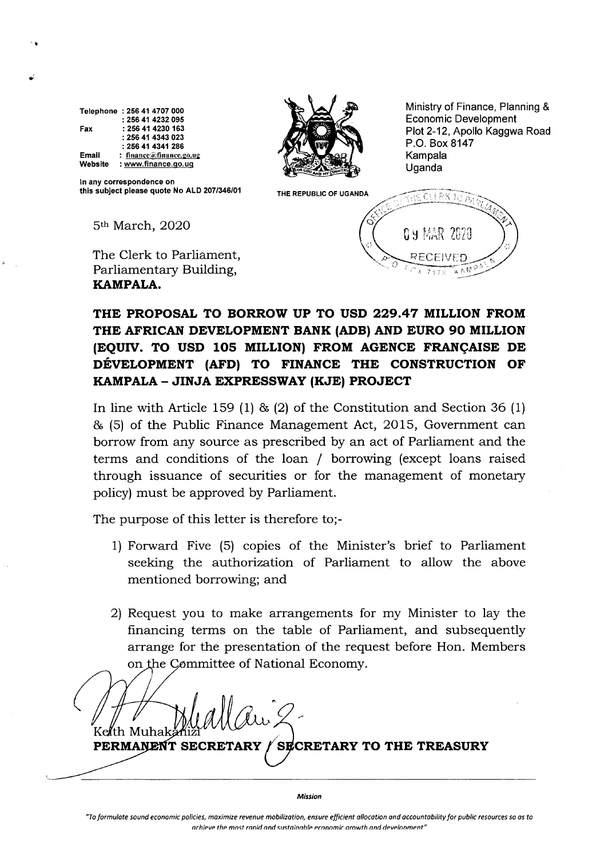Telephone :256 41 4707 0OO Fax Email Website :256 41 4232095 :256 41 4230 163 :25641 4343O23 :256 41 4341 286 : finance@finance.go.ug : www.finance,go.uo

I

?



Ministry of Finance, Planning & Economic Development Plot 2-12, Apollo Kaggwa Road P.O. Box 8147 Kampala Uganda

 $\tilde{M} \wedge \tilde{N}$ 

ln any correspondence on this subject please quote No ALD 207/346/01

5<sup>th</sup> March, 2020

The Clerk to Parliament, Parliamentary Building, KAMPALA.

THE REPUBLIC OF UGANDA  $\sqrt{\sqrt{1+{\rm Re}\ C} \pm {\rm Re} K T \bar{\rm Re}}$ 0.4 MAR 2020 RECEIVED N

### THE PROPOSAL TO BORROW UP TO USD 229.47 MILLION FROM THE AFRICAN DEVELOPMENT BANK (ADB} AND EURO 90 MILLION (EQUIV. TO USD 105 MILLION) FROM AGENCE FRANÇAISE DE DÉVELOPMENT (AFD) TO FINANCE THE CONSTRUCTION OF KAMPALA - JINJA EXPRESSWAY (KJE) PROJECT

In line with Article 159 (1) & (2) of the Constitution and Section 36 (1) & (5) of the Public Finance Management Act, 2015, Government can borrow from any source as prescribed by an act of Parliament and the terms and conditions of the loan / borrowing (except loans raised through issuance of securities or for the management of monetary policy) must be approved by Parliament.

The purpose of this letter is therefore to;-

- 1) Forward Five (5) copies of the Minister's brief to Parliament seeking the authorization of Parliament to allow the above mentioned borrowing; and.
- 2) Request you to make arrangements for my Minister to lay the financing terms on the table of Parliament, and subsequently arrange for the presentation of the request before Hon. Members on the Committee of National Economy.

Ru 2-PERMANENT SECRETARY / SECRETARY TO THE TREASURY

Mission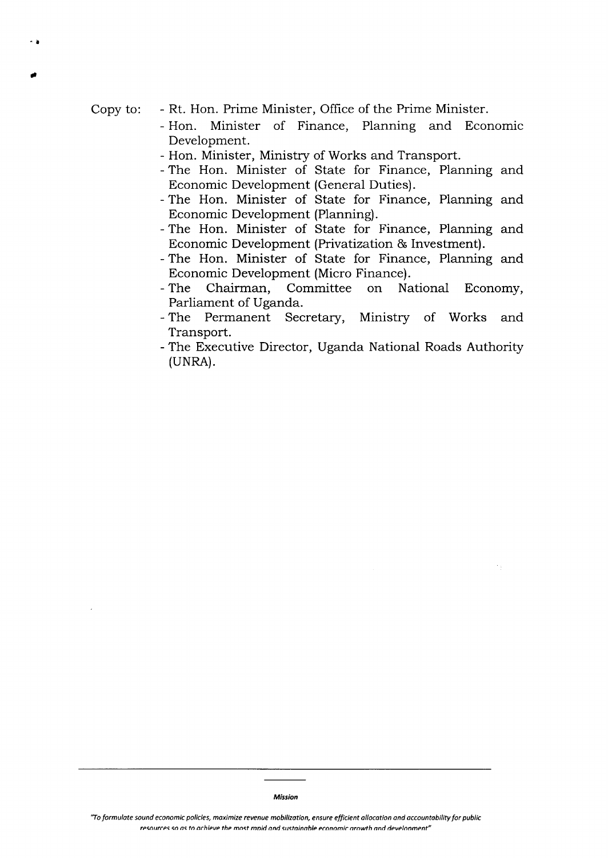Copy to

I

)

Rt. Hon. Prime Minister, Office of the Prime Minister.

- Hon. Minister of Finance, Planning and Economic Development.
- Hon. Minister, Ministry of Works and Transport.
- The Hon. Minister of State for Finance, Planning and Economic Development (General Duties).
- The Hon. Minister of State for Finance, Planning and Economic Development (Planning).
- The Hon. Minister of State for Finance, Planning and Economic Development (Privatization & Investment).
- The Hon. Minister of State for Finance, Planning and Economic Development (Micro Finance).
- The Chairman, Committee on National Economy, Parliament of Uganda.
- The Permanent Secretary, Ministry of Works and Transport.
- The Executive Director, Uganda National Roads Authority (UNRA).

<sup>&</sup>quot;To formulate sound economic policies, maximize revenue mobilization, ensure efficient allocation and accountability for public resources so as to achieve the most ranid and sustainable economic arowth and development"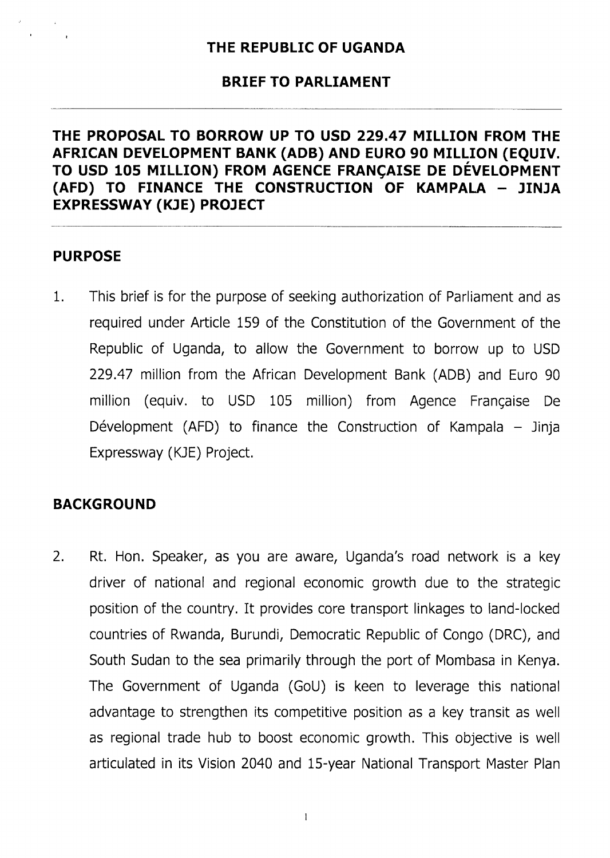### BRIEF TO PARLIAMENT

### THE PROPOSAL TO BORROW UP TO USD 229.47 MILLION FROM THE AFRICAN DEVELOPMENT BANK (ADB) AND EURO 90 MILLION (EOUIV. TO USD 105 MILLION) FROM AGENCE FRANÇAISE DE DÉVELOPMENT (AFD) TO FINANCE THE CONSTRUCTION OF KAMPALA - JINJA EXPRESSWAY (KJE) PROJECT

#### PURPOSE

1 This brief is for the purpose of seeking authorization of Parliament and as required under Article 159 of the Constitution of the Government of the Republic of Uganda, to allow the Government to borrow up to USD 229.47 million from the African Development Bank (ADB) and Euro 90 million (equiv. to USD 105 million) from Agence Frangaise De Dévelopment (AFD) to finance the Construction of Kampala  $-$  Jinja Expressway (KJE) Project.

### BACKGROUND

Rt. Hon. Speaker, as you are aware, Uganda's road network is a key driver of national and regional economic growth due to the strategic position of the country. It provides core transport linkages to land-locked countries of Rwanda, Burundi, Democratic Republic of Congo (DRC), and South Sudan to the sea primarily through the port of Mombasa in Kenya. The Government of Uganda (GoU) is keen to leverage this national advantage to strengthen its competitive position as a key transit as well as regional trade hub to boost economic arowth. This objective is well articulated in its Vision 2040 and 15-year National Transport Master Plan 2.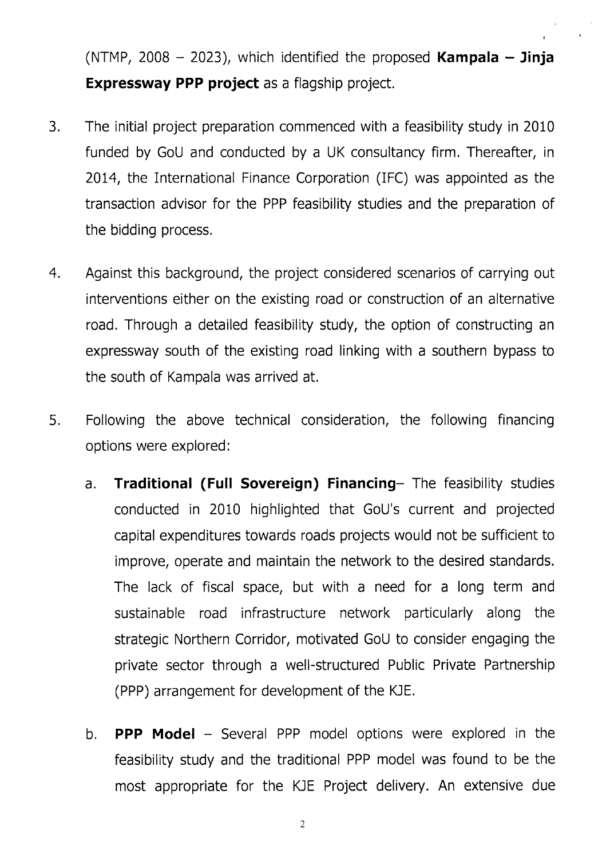(NTMP, 2008  $-$  2023), which identified the proposed **Kampala**  $-$  **Jinja** Expressway PPP project as a flagship project.

- 3 The initial project preparation commenced with a feasibility study in 2010 funded by GoU and conducted by a UK consultancy firm. Thereafter, in 2014, the International Finance Corporation (IFC) was appointed as the transaction advisor for the PPP feasibility studies and the preparation of the bidding process.
- Against this background, the project considered scenarios of carrying out interventions either on the existing road or construction of an alternative road. Through a detailed feasibility study, the option of constructing an expressway south of the existing road linking with a southern bypass to the south of Kampala was arrived at. 4
- Following the above technical consideration, the following financing options were explored: 5
	- Traditional (Full Sovereign) Financing- The feasibility studies conducted in 2010 highlighted that GoU's current and projected capital expenditures towards roads projects would not be sufficient to improve, operate and maintain the network to the desired standards. The lack of fiscal space, but with a need for a long term and sustainable road infrastructure network particularly along the strategic Northern Corridor, motivated GoU to consider engaging the private sector through a well-structured Public Private Partnership (PPP) arrangement for development of the KJE, a.
	- b. **PPP Model**  $-$  Several PPP model options were explored in the feasibility study and the traditional PPP model was found to be the most appropriate for the KJE Project delivery. An extensive due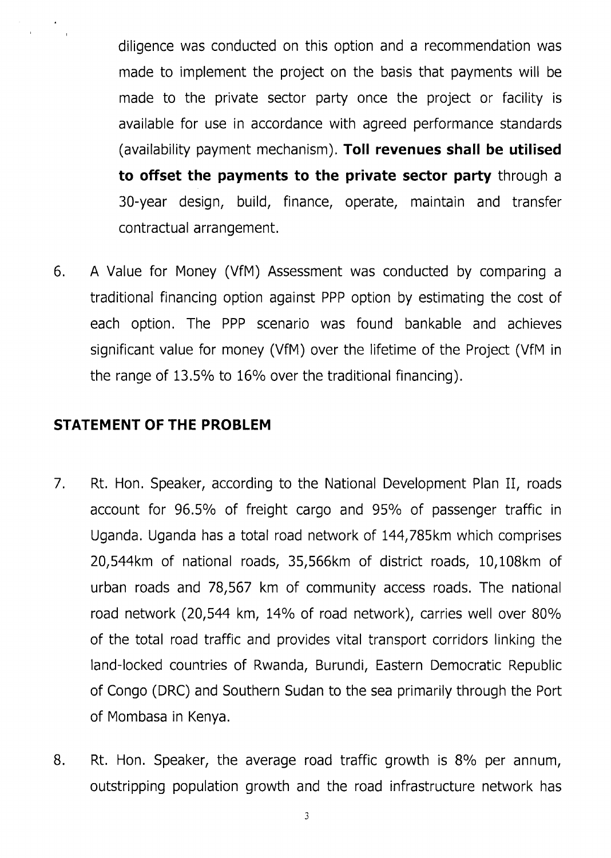diligence was conducted on this option and a recommendation was made to implement the project on the basis that payments will be made to the private sector party once the project or facility is available for use in accordance with agreed performance standards (availability payment mechanism). Toll revenues shall be utilised to offset the payments to the private sector party through a 3O-year design, build, finance, operate, maintain and transfer contractual arrangement.

6 A Value for Money (VfM) Assessment was conducted by comparing <sup>a</sup> traditional financing option against PPP option by estimating the cost of each option. The PPP scenario was found bankable and achieves significant value for money (VfM) over the lifetime of the Project (VfM in the range of  $13.5\%$  to  $16\%$  over the traditional financing).

### STATEMENT OF THE PROBLEM

- Rt. Hon. Speaker, according to the National Development Plan II, roads account for 96.5% of freight cargo and 95% of passenger traffic in Uganda. Uganda has a total road network of 144,785km which comprises 20,544km of national roads, 35,566km of district roads, 10,108km of urban roads and 78,567 km of community access roads. The national road network (20,544 km, 14% of road network), carries well over 80% of the total road traffic and provides vital transport corridors linking the land-locked countries of Rwanda, Burundi, Eastern Democratic Republic of Congo (DRC) and Southern Sudan to the sea primarily through the Port of Mombasa in Kenya. 7
- Rt. Hon. Speaker, the average road traffic growth is B% per annum, outstripping population growth and the road infrastructure network has 8.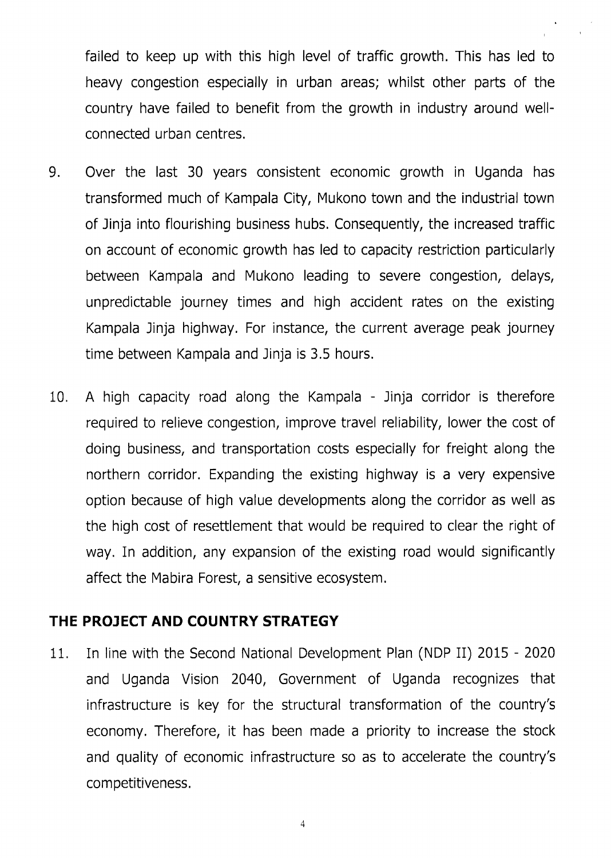failed to keep up with this high level of traffic growth. This has led to heavy congestion especially in urban areas; whilst other parts of the country have failed to benefit from the growth in industry around wellconnected urban centres.

- 9 Over the last 30 years consistent economic growth in Uganda has transformed much of Kampala City, Mukono town and the industrial town of Jinja into flourishing business hubs. Consequently, the increased traffic on account of economic growth has led to capacity restriction particularly between Kampala and Mukono leading to severe congestion, delays, unpredictable journey times and high accident rates on the existing Kampala Jinja highway. For instance, the current average peak journey time between Kampala and Jinja is 3,5 hours.
- 10, A high capacity road along the Kampala Jinja corridor is therefore required to relieve congestion, improve travel reliability, lower the cost of doing business, and transportation costs especially for freight along the northern corridor. Expanding the existing highway is a very expensive option because of high value developments along the corridor as well as the high cost of resettlement that would be required to clear the right of way. In addition, any expansion of the existing road would significantly affect the Mabira Forest, a sensitive ecosystem.

#### THE PRO]ECT AND COUNTRY STRATEGY

11. In line with the Second National Development Plan (NDP II) 2015 - <sup>2020</sup> and Uganda Vision 2040, Government of Uganda recognizes that infrastructure is key for the structural transformation of the country's economy. Therefore, it has been made a priority to increase the stock and quality of economic infrastructure so as to accelerate the country's competitiveness,

 $\overline{\mathcal{L}}$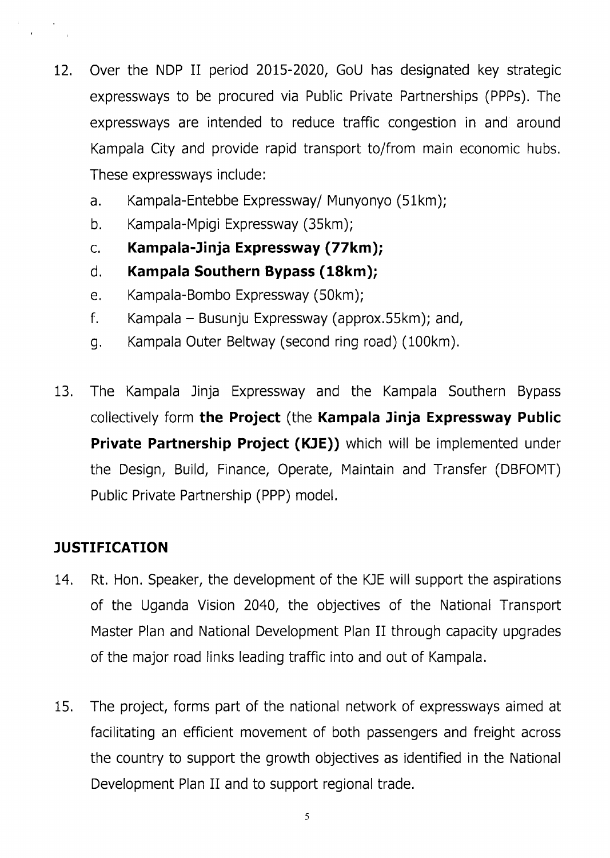- 12. Over the NDP II period 2015-2020, GoU has designated key strategic expressways to be procured via Public Private Partnerships (PPPs). The expressways are intended to reduce traffic congestion in and around Kampala City and provide rapid transport to/from main economic hubs. These expressways include:
	- a. Kampala-Entebbe Expressway/ Munyonyo (51km);
	- b. Kampala-Mpigi Expressway (35km);
	- c. Kampala-Jinja Expressway (77km);
	- d. Kampala Southern Bypass (18km);
	- e. Kampala-Bombo Expressway (50km);
	- <sup>f</sup>. Kampala Busunju Expressway (approx.55km); and,
	- g. Kampala Outer Beltway (second ring road) (100km).
- 13. The Kampala Jinja Expressway and the Kampala Southern Bypass collectively form the Project (the Kampala Jinja Expressway Public Private Partnership Project (KJE)) which will be implemented under the Design, Build, Finance, Operate, Maintain and Transfer (DBFOMT) Public Private Partnership (PPP) model.

# **JUSTIFICATION**

- 14. Rt. Hon. Speaker, the development of the KJE will support the aspirations of the Uganda Vision 2040, the objectives of the National Transport Master Plan and National Development Plan II through capacity upgrades of the major road links leading traffic into and out of Kampala.
- 15. The project, forms part of the national network of expressways aimed at facilitating an efficient movement of both passengers and freight across the country to support the growth objectives as identified in the National Development Plan II and to support regional trade.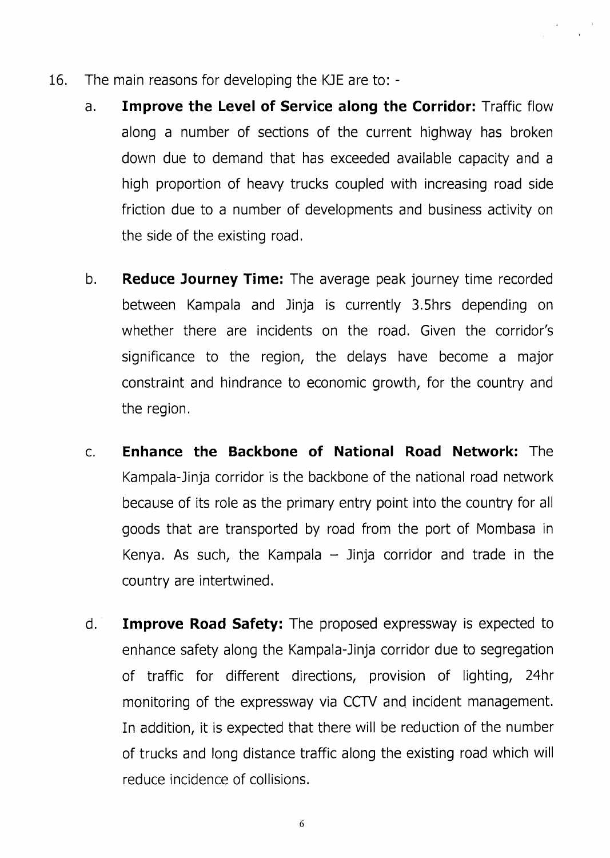- 16. The main reasons for developing the KJE are to:
	- a. Improve the Level of Service along the Corridor: Traffic flow along a number of sections of the current highway has broken down due to demand that has exceeded available capacity and <sup>a</sup> high proportion of heavy trucks coupled with increasing road side friction due to a number of developments and business activity on the side of the existing road.
	- Reduce Journey Time: The average peak journey time recorded between Kampala and Jinja is currently 3.5hrs depending on whether there are incidents on the road. Given the corridor's significance to the region, the delays have become a major constraint and hindrance to economic growth, for the country and the region.  $b<sub>r</sub>$
	- Enhance the Backbone of National Road Network: The Kampala-Jinja corridor is the backbone of the national road network because of its role as the primary entry point into the country for all goods that are transported by road from the port of Mombasa in Kenya. As such, the Kampala  $-$  Jinja corridor and trade in the country are intertwined.  $C_{1}$
	- Improve Road Safety: The proposed expressway is expected to enhance safety along the Kampala-Jinja corridor due to segregation of traffic for different directions, provision of lighting, 24hr monitoring of the expressway via CCTV and incident management. In addition, it is expected that there will be reduction of the number of trucks and long distance traffic along the existing road which will reduce incidence of collisions. d

6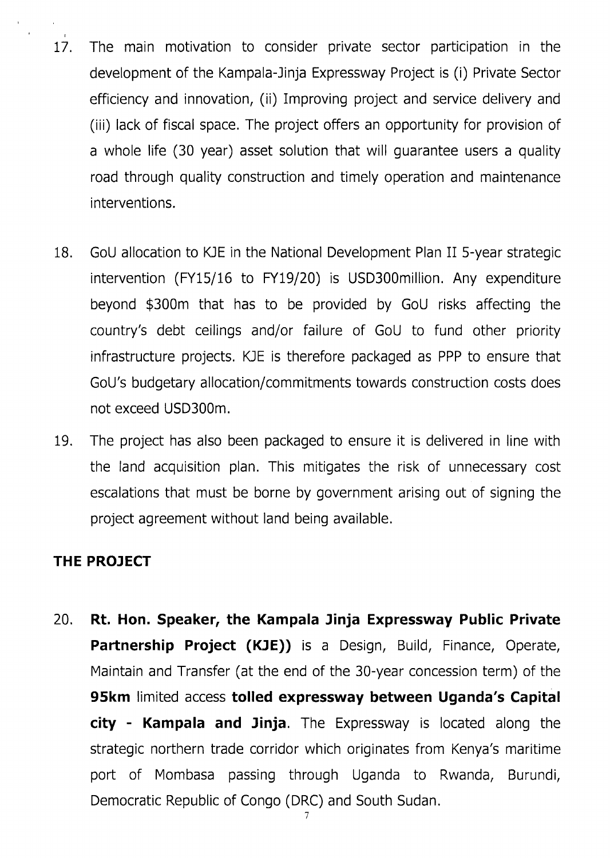- 17. The main motivation to consider private sector participation in the development of the Kampala-Jinja Expressway Project is (i) Private Sector efficiency and innovation, (ii) Improving project and service delivery and (iii) lack of fiscal space. The project offers an opportunity for provision of a whole life (30 year) asset solution that will guarantee users a quality road through quality construction and timely operation and maintenance interventions.
- 18. GoU allocation to KJE in the National Development Plan II 5-year strategic intervention (FY15/16 to FY19/20) is USD300million. Any expenditure beyond \$300m that has to be provided by GoU risks affecting the country's debt ceilings and/or failure of GoU to fund other priority infrastructure projects. KJE is therefore packaged as PPP to ensure that GoU's budgetary allocation/commitments towards construction costs does not exceed USD300m.
- 19. The project has also been packaged to ensure it is delivered in line with the land acquisition plan. This mitigates the risk of unnecessary cost escalations that must be borne by government arising out of signing the project agreement without land being available.

#### THE PROJECT

20. Rt. Hon. Speaker, the Kampala Jinja Expressway Public Private Partnership Project (KJE)) is a Design, Build, Finance, Operate, Maintain and Transfer (at the end of the 30-year concession term) of the 95km limited access tolled expressway between Uganda's Capital city - Kampala and Jinja. The Expressway is located along the strategic northern trade corridor which originates from Kenya's maritime port of Mombasa passing through Uganda to Rwanda, Burundi, Democratic Republic of Congo (DRC) and South Sudan.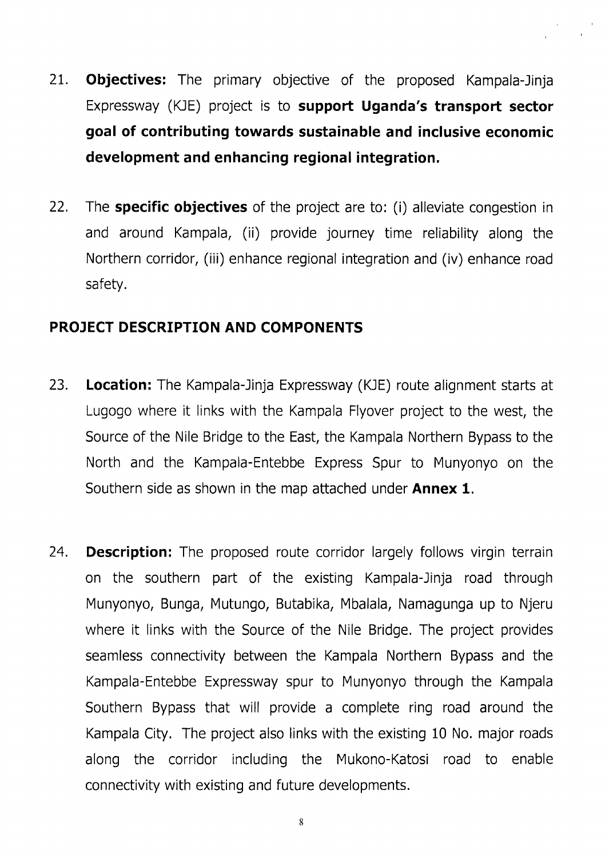- 21. **Objectives:** The primary objective of the proposed Kampala-Jinja Expressway (KJE) project is to support Uganda's transport sector goal of contributing towards sustainable and inclusive economic development and enhancing regional integration.
- 22. The **specific objectives** of the project are to: (i) alleviate congestion in and around Kampala, (ii) provide journey time reliability along the Northern corridor, (iii) enhance regional integration and (iv) enhance road safety.

### PROJECT DESCRIPTION AND COMPONENTS

- 23. Location: The Kampala-Jinja Expressway (KJE) route alignment starts at Lugogo where it links with the Kampala Flyover project to the west, the Source of the Nile Bridge to the East, the Kampala Northern Bypass to the North and the Kampala-Entebbe Express Spur to Munyonyo on the Southern side as shown in the map attached under **Annex 1.**
- 24. Description: The proposed route corridor largely follows virgin terrain on the southern part of the existing Kampala-Jinja road through Munyonyo, Bunga, Mutungo, Butabika, Mbalala, Namagunga up to Njeru where it links with the Source of the Nile Bridge, The project provides seamless connectivity between the Kampala Northern Bypass and the Kampala-Entebbe Expressway spur to Munyonyo through the Kampala Southern Bypass that will provide a complete ring road around the Kampala City. The project also links with the existing 10 No. major roads along the corridor including the Mukono-Katosi road to enable connectivity with existing and future developments.

8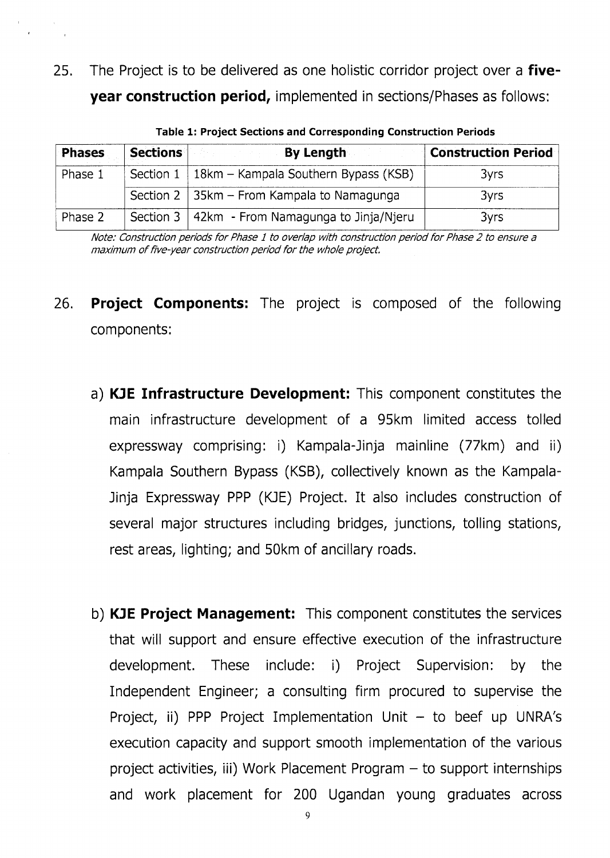25. The Project is to be delivered as one holistic corridor project over a five**year construction period, implemented in sections/Phases as follows:** 

| <b>Phases</b> | <b>Sections</b>  | By Length                                             | <b>Construction Period</b> |
|---------------|------------------|-------------------------------------------------------|----------------------------|
| Phase 1       |                  | Section $1 \mid 18km -$ Kampala Southern Bypass (KSB) | 3yrs                       |
|               |                  | Section 2   35km - From Kampala to Namagunga          | 3yrs                       |
| Phase 2       | Section $3 \mid$ | 42km - From Namagunga to Jinja/Njeru                  | 3yrs                       |

Table 1: Project Sections and Corresponding Construction Periods

Note: Construction periods for Phase I to overlap with construction period for Phase 2 to ensure <sup>a</sup> maximum of five-year construction period for the whole project,

- 26. Project Components: The project is composed of the following components:
	- a) KJE Infrastructure Development: This component constitutes the main infrastructure development of a 95km limited access tolled expressway comprising: i) Kampala-Jinja mainline (77km) and ii) Kampala Southern Bypass (KSB), collectively known as the Kampala-Jinja Expressway PPP (KJE) Project. It also includes construction of several major structures including bridges, junctions, tolling stations, rest areas, lighting; and 50km of ancillary roads.
	- b) **KJE Project Management:** This component constitutes the services that will support and ensure effective execution of the infrastructure development. These include: i) Project Supervision: by the Independent Engineer; a consulting firm procured to supervise the Project, ii) PPP Project Implementation Unit  $-$  to beef up UNRA's execution capacity and support smooth implementation of the various project activities, iii) Work Placement Program  $-$  to support internships and work placement for 200 Ugandan young graduates across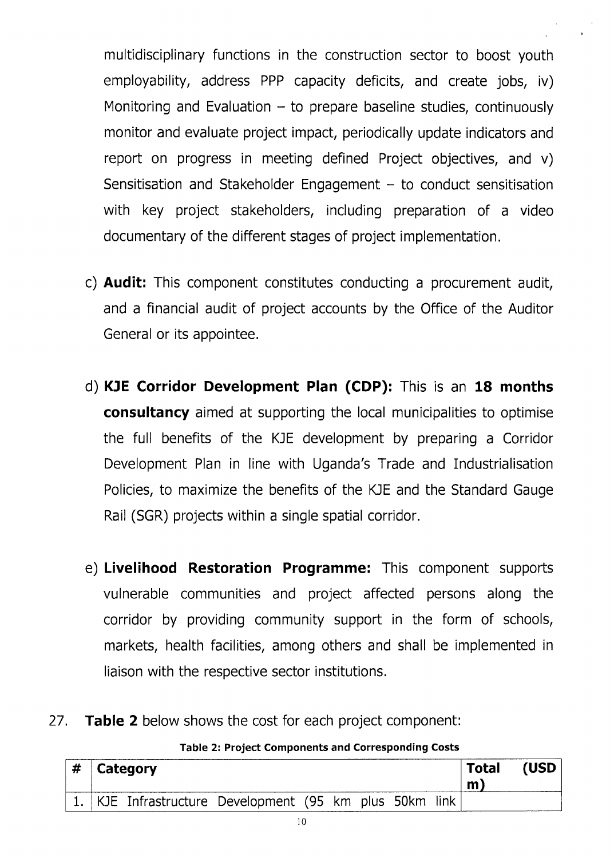multidisciplinary functions in the construction sector to boost youth employability, address PPP capacity deficits, and create jobs, iv) Monitoring and Evaluation  $-$  to prepare baseline studies, continuously monitor and evaluate project impact, periodically update indicators and report on progress in meeting defined Project objectives, and v) Sensitisation and Stakeholder Engagement  $-$  to conduct sensitisation with key project stakeholders, including preparation of a video documentary of the different stages of project implementation.

- c) Audit: This component constitutes conducting a procurement audit, and a financial audit of project accounts by the Office of the Auditor General or its appointee.
- d) KJE Corridor Development Plan (CDP): This is an 18 months **consultancy** aimed at supporting the local municipalities to optimise the full benefits of the KJE development by preparing a Corridor Development Plan in line with Uganda's Trade and Industrialisation Policies, to maximize the benefits of the KJE and the Standard Gauge Rail (SGR) projects within a single spatial corridor.
- e) Livelihood Restoration Programme: This component supports vulnerable communities and project affected persons along the corridor by providing community support in the form of schools, markets, health facilities, among others and shall be implemented in liaison with the respective sector institutions.
- 27. **Table 2** below shows the cost for each project component:

Table 2: Project Components and Corresponding Costs

|  | $\#$ Category                                        |  |  |  |  |  | <b>Total</b><br>m | (USD |  |
|--|------------------------------------------------------|--|--|--|--|--|-------------------|------|--|
|  | KJE Infrastructure Development (95 km plus 50km link |  |  |  |  |  |                   |      |  |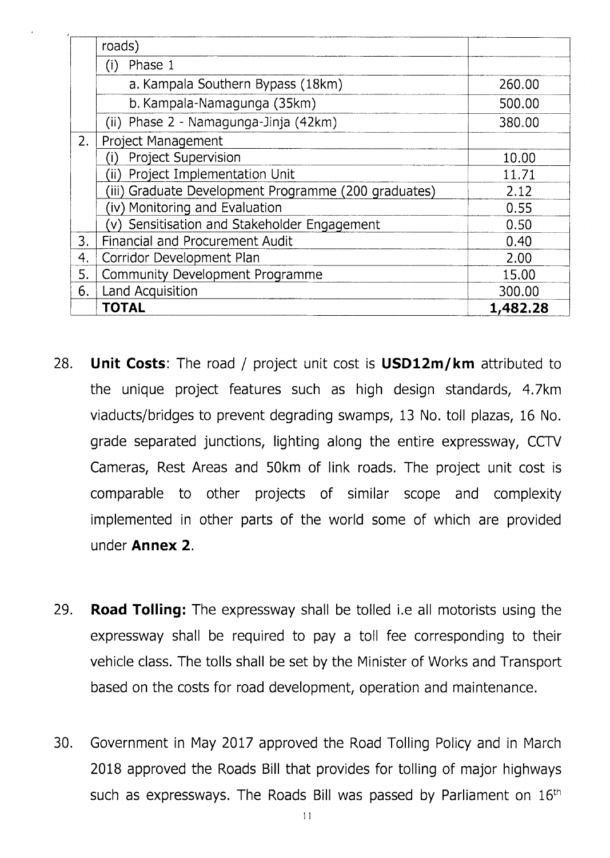|    | roads)                                               |          |
|----|------------------------------------------------------|----------|
|    | Phase 1<br>(i)                                       |          |
|    | a. Kampala Southern Bypass (18km)                    | 260.00   |
|    | b. Kampala-Namagunga (35km)                          | 500.00   |
|    | (ii) Phase 2 - Namagunga-Jinja (42km)                | 380.00   |
| 2. | <b>Project Management</b>                            |          |
|    | <b>Project Supervision</b>                           | 10.00    |
|    | Project Implementation Unit                          | 11.71    |
|    | (iii) Graduate Development Programme (200 graduates) | 2.12     |
|    | (iv) Monitoring and Evaluation                       | 0.55     |
|    | Sensitisation and Stakeholder Engagement             | 0.50     |
| 3. | <b>Financial and Procurement Audit</b>               | 0.40     |
| 4. | Corridor Development Plan                            | 2.00     |
| 5. | Community Development Programme                      | 15.00    |
| 6. | Land Acquisition                                     | 300.00   |
|    | <b>TOTAL</b>                                         | 1,482.28 |

- 28. Unit Costs: The road / project unit cost is USD12m/km attributed to the unique project features such as high design standards, 4.7km viaducts/bridges to prevent degrading swamps, 13 No. toll plazas, 16 No. grade separated junctions, lighting along the entire expressway, CCTV Cameras, Rest Areas and 50km of link roads. The project unit cost is comparable to other projects of similar scope and complexity implemented in other parts of the world some of which are provided under Annex 2,
- 29. Road Tolling: The expressway shall be tolled i.e all motorists using the expressway shall be required to pay a toll fee corresponding to their vehicle class. The tolls shall be set by the Minister of Works and Transport based on the costs for road development, operation and maintenance.
- 30. Government in May 2017 approved the Road Tolling Policy and in March 2018 approved the Roads Bill that provides for tolling of major highways such as expressways. The Roads Bill was passed by Parliament on 16<sup>th</sup>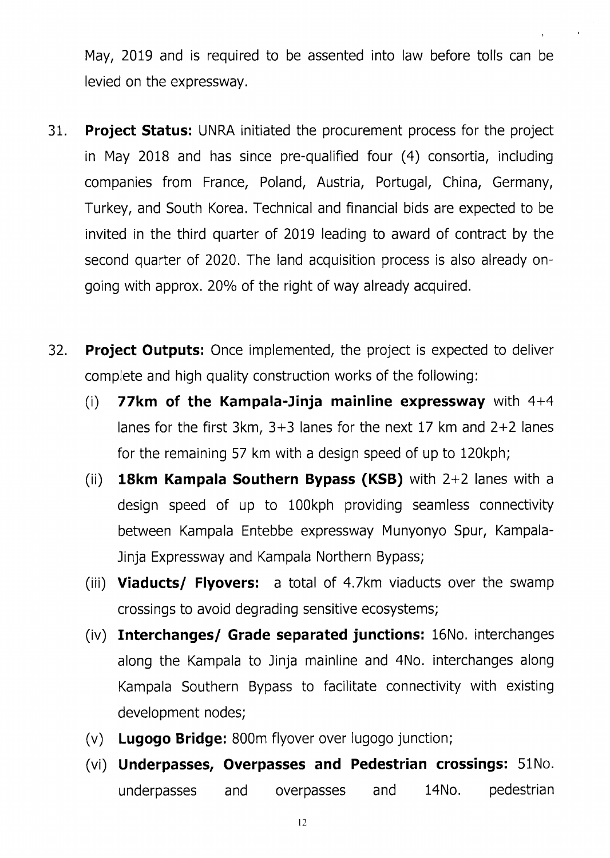May, 2019 and is required to be assented into law before tolls can be levied on the expressway.

- 31. Project Status: UNRA initiated the procurement process for the project in May 2018 and has since pre-qualified four (4) consortia, including companies from France, Poland, Austria, Portugal, China, Germany, Turkey, and South Korea, Technical and financial bids are expected to be invited in the third quarter of 2019 leading to award of contract by the second quarter of 2020. The land acquisition process is also already ongoing with approx. 20% of the right of way already acquired.
- 32. Project Outputs: Once implemented, the project is expected to deliver complete and high quality construction works of the following:
	- (i) **77km of the Kampala-Jinja mainline expressway** with  $4+4$ lanes for the first 3km, 3+3 lanes for the next 17 km and 2+2 lanes for the remaining 57 km with a design speed of up to 120kph;
	- (ii) **18km Kampala Southern Bypass (KSB)** with  $2+2$  lanes with a design speed of up to 100kph providing seamless connectivity between Kampala Entebbe expressway Munyonyo Spur, Kampala-Jinja Expressway and Kampala Northern Bypass;
	- (iii) Viaducts/ Flyovers: a total of 4.7km viaducts over the swamp crossings to avoid degrading sensitive ecosystems;
	- (iv) Interchanges/ Grade separated junctions: 16No, interchanges along the Kampala to Jinja mainline and 4No. interchanges along Kampala Southern Bypass to facilitate connectivity with existing development nodes;
	- (v) Lugogo Bridge: B00m flyover over lugogo junction;
	- (vi) Underpasses, Overpasses and Pedestrian crossings: 51No. underpasses and overpasses and 14No. pedestrian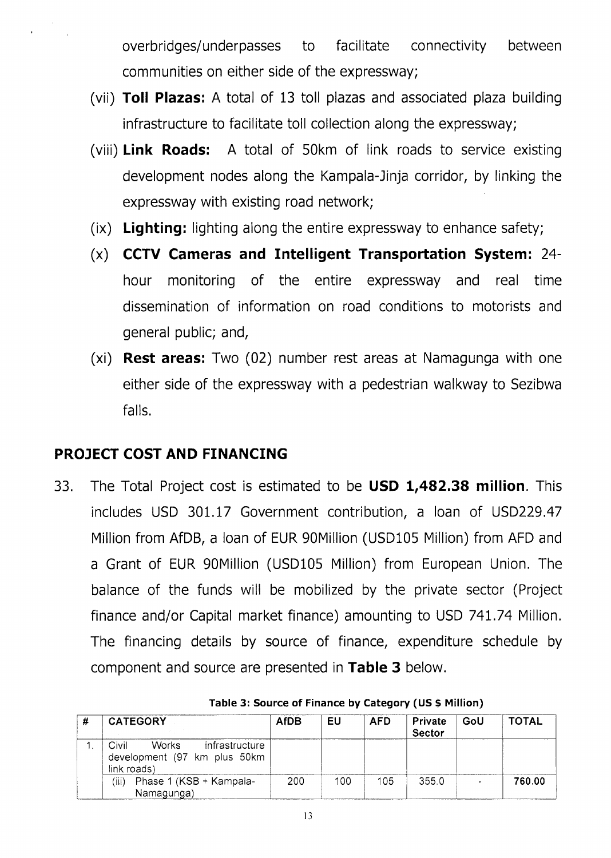overbridges/underpasses to facilitate connectivity between communities on either side of the expressway;

- (vii) Toll Plazas: A total of 13 toll plazas and associated plaza building infrastructure to facilitate toll collection along the expressway;
- (viii) Link Roads: A total of 50km of link roads to service existing development nodes along the Kampala-Jinja corridor, by linking the expressway with existing road network;
- (ix) Lighting: lighting along the entire expressway to enhance safety;
- CCTV Cameras and Intelligent Transportation System: 24hour monitoring of the entire expressway and real time dissemination of information on road conditions to motorists and general public; and,  $(x)$
- **Rest areas:** Two (02) number rest areas at Namagunga with one either side of the expressway with a pedestrian walkway to Sezibwa falls.  $(xi)$

## PROJECT COST AND FINANCING

33. The Total Project cost is estimated to be **USD 1,482.38 million**. This includes USD 301.17 Government contribution, a loan of USD229.47 Million from AfDB, a loan of EUR 90Million (USD105 Million) from AFD and a Grant of EUR gOMillion (USD105 Million) from European Union. The balance of the funds will be mobilized by the private sector (Project finance and/or Capital market finance) amounting to USD 74L.74 Million. The financing details by source of finance, expenditure schedule by component and source are presented in Table 3 below.

| <b>CATEGORY</b>                                                                        | <b>AfDB</b> | EU  | <b>AFD</b> | <b>Private</b><br><b>Sector</b> | GoU | <b>TOTAL</b> |
|----------------------------------------------------------------------------------------|-------------|-----|------------|---------------------------------|-----|--------------|
| <b>Works</b><br>Civil<br>infrastructure<br>development (97 km plus 50km<br>link roads) |             |     |            |                                 |     |              |
| Phase 1 (KSB + Kampala-<br>(iii)<br>Namagunga)                                         | 200         | 100 | 105        | 355.0                           |     | 760.00       |

Table 3: Source of Finance by Category (US \$ Million)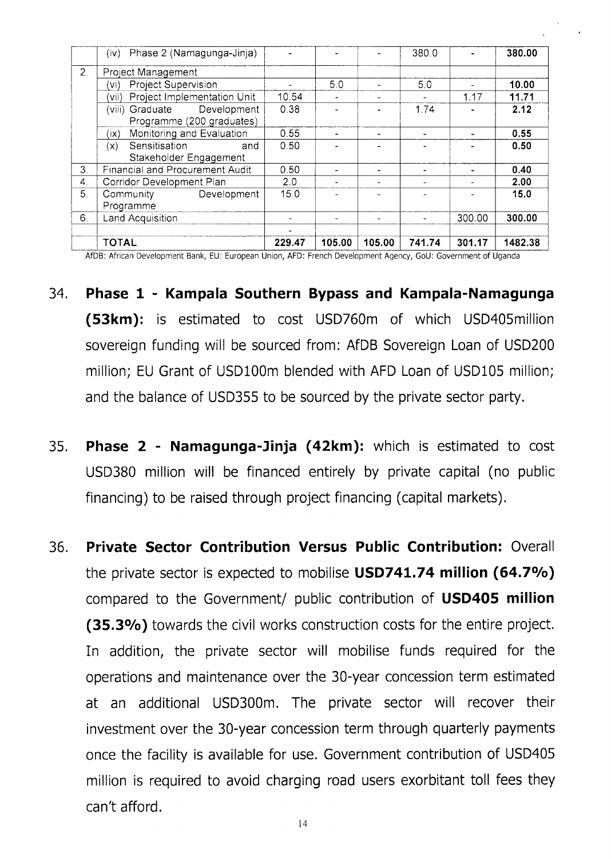|                  | Phase 2 (Namagunga-Jinja)<br>(iv)         |        |                |        | 380.0  |        | 380.00  |
|------------------|-------------------------------------------|--------|----------------|--------|--------|--------|---------|
| 2.               | Project Management                        |        |                |        |        |        |         |
|                  | Project Supervision<br>(vi)               |        | 5.0            |        | 5.0    |        | 10.00   |
|                  | Project Implementation Unit<br>'vii)      | 10.54  | $\blacksquare$ |        |        | 1.17   | 11.71   |
|                  | Development<br>(viii) Graduate            | 0.38   |                |        | 1.74   |        | 2.12    |
|                  | Programme (200 graduates)                 |        |                |        |        |        |         |
|                  | Monitoring and Evaluation<br>$(i \times)$ | 0.55   | ۰.             |        |        |        | 0.55    |
|                  | Sensitisation<br>(x)<br>and               | 0.50   |                |        |        |        | 0.50    |
|                  | Stakeholder Engagement                    |        |                |        |        |        |         |
| 3.               | Financial and Procurement Audit           | 0.50   |                |        |        |        | 0.40    |
| $\overline{4}$ . | Corridor Development Plan                 | 2.0    |                |        |        |        | 2.00    |
| 5.               | Community<br>Development                  | 15.0   |                |        |        |        | 15.0    |
|                  | Programme                                 |        |                |        |        |        |         |
| 6.               | <b>Land Acquisition</b>                   |        |                |        |        | 300.00 | 300.00  |
|                  |                                           |        |                |        |        |        |         |
|                  | <b>TOTAL</b>                              | 229.47 | 105.00         | 105.00 | 741.74 | 301.17 | 1482.38 |

AfDB: African Development Bank, EU: European Union, AFD: French Development Agency, GoU: Government of Uganda

- 34. Phase 1 Kampala Southern Bypass and Kampala-Namagunga (53km): is estimated to cost USD760m of which USD405million sovereign funding will be sourced from: AfDB Sovereign Loan of USD200 million; EU Grant of USD100m blended with AFD Loan of USD105 million; and the balance of USD355 to be sourced by the private sector party.
- 35. Phase  $2$  Namagunga-Jinja  $(42km)$ : which is estimated to cost USD380 million will be financed entirely by private capital (no public financing) to be raised through project financing (capital markets).
- 36. Private Sector Contribution Versus Public Contribution: Overall the private sector is expected to mobilise USD741.74 million (64.7%) compared to the Government/ public contribution of USD405 million (35.3%) towards the civil works construction costs for the entire project. In addition, the private sector will mobilise funds required for the operations and maintenance over the 30-year concession term estimated at an additional USD300m. The private sector will recover their investment over the 30-year concession term through quarterly payments once the facility is available for use. Government contribution of USD405 million is required to avoid charging road users exorbitant toll fees they can't afford.